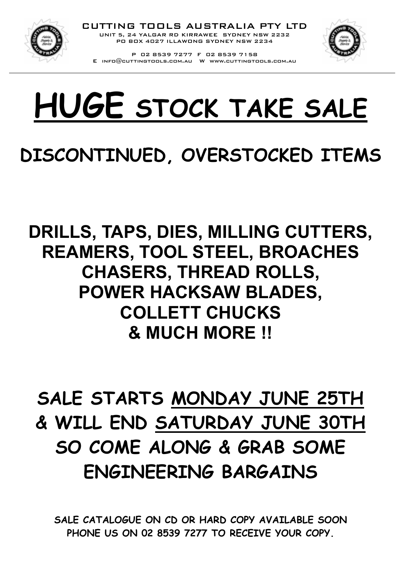

CUTTING TOOLS AUSTRALIA PTY LTD UNIT 5, 24 YALGAR RD KIRRAWEE SYDNEY NSW 2232 PO BOX 4027 ILLAWONG SYDNEY NSW 2234



P 02 8539 7277 F 02 8539 7158 E info@cuttingtools.com.au W www.cuttingtools.com.au

# HUGE STOCK TAKE SALE

# DISCONTINUED, OVERSTOCKED ITEMS

## DRILLS, TAPS, DIES, MILLING CUTTERS, REAMERS, TOOL STEEL, BROACHES CHASERS, THREAD ROLLS, POWER HACKSAW BLADES, COLLETT CHUCKS & MUCH MORE !!

# SALE STARTS MONDAY JUNE 25TH & WILL END SATURDAY JUNE 30TH SO COME ALONG & GRAB SOME ENGINEERING BARGAINS

SALE CATALOGUE ON CD OR HARD COPY AVAILABLE SOON PHONE US ON 02 8539 7277 TO RECEIVE YOUR COPY